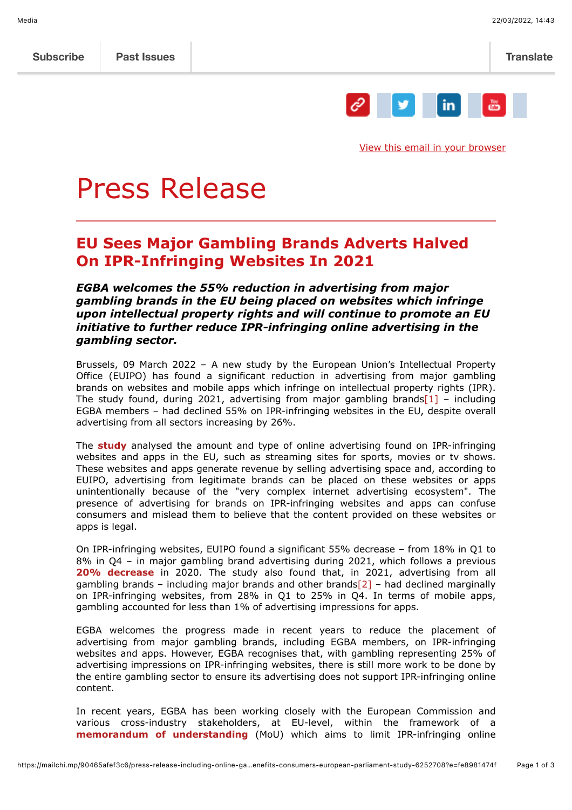

[View this email in your browser](https://mailchi.mp/90465afef3c6/press-release-including-online-gambling-in-eu-digital-single-market-benefits-consumers-european-parliament-study-6252708?e=fe8981474f)

# Press Release

# **EU Sees Major Gambling Brands Adverts Halved On IPR-Infringing Websites In 2021**

*EGBA welcomes the 55% reduction in advertising from major gambling brands in the EU being placed on websites which infringe upon intellectual property rights and will continue to promote an EU initiative to further reduce IPR-infringing online advertising in the gambling sector.*

Brussels, 09 March 2022 – A new study by the European Union's Intellectual Property Office (EUIPO) has found a significant reduction in advertising from major gambling brands on websites and mobile apps which infringe on intellectual property rights (IPR). The study found, during 2021, advertising from major gambling brands $[1]$  – including EGBA members – had declined 55% on IPR-infringing websites in the EU, despite overall advertising from all sectors increasing by 26%.

The **[study](https://euipo.europa.eu/ohimportal/en/web/observatory/news/-/action/view/9221014?TSPD_101_R0=085d22110bab20005f31621c47cc76fc3504e01a6204db0b6786720f68b0d0490329e712c1cc1a40088554cc6214300007029f53e6164fd4539bbd1706b42d4a9454ad88c0d328c5648b8d34379bbc4bd8028959a0b8fe42eb8b59cf9e018d05)** analysed the amount and type of online advertising found on IPR-infringing websites and apps in the EU, such as streaming sites for sports, movies or tv shows. These websites and apps generate revenue by selling advertising space and, according to EUIPO, advertising from legitimate brands can be placed on these websites or apps unintentionally because of the "very complex internet advertising ecosystem". The presence of advertising for brands on IPR-infringing websites and apps can confuse consumers and mislead them to believe that the content provided on these websites or apps is legal.

On IPR-infringing websites, EUIPO found a significant 55% decrease – from 18% in Q1 to 8% in Q4 – in major gambling brand advertising during 2021, which follows a previous **[20% decrease](https://www.egba.eu/news-post/efforts-by-europes-major-gambling-brands-leads-to-20-reduction-in-unintentional-advertising-on-ipr-infringing-websites-report/)** in 2020. The study also found that, in 2021, advertising from all gambling brands - including major brands and other brands $[2]$  - had declined marginally on IPR-infringing websites, from 28% in Q1 to 25% in Q4. In terms of mobile apps, gambling accounted for less than 1% of advertising impressions for apps.

EGBA welcomes the progress made in recent years to reduce the placement of advertising from major gambling brands, including EGBA members, on IPR-infringing websites and apps. However, EGBA recognises that, with gambling representing 25% of advertising impressions on IPR-infringing websites, there is still more work to be done by the entire gambling sector to ensure its advertising does not support IPR-infringing online content.

In recent years, EGBA has been working closely with the European Commission and various cross-industry stakeholders, at EU-level, within the framework of a **[memorandum of understanding](https://ec.europa.eu/growth/industry/strategy/intellectual-property/enforcement-intellectual-property-rights/memorandum-understanding-online-advertising-and-ipr_en)** (MoU) which aims to limit IPR-infringing online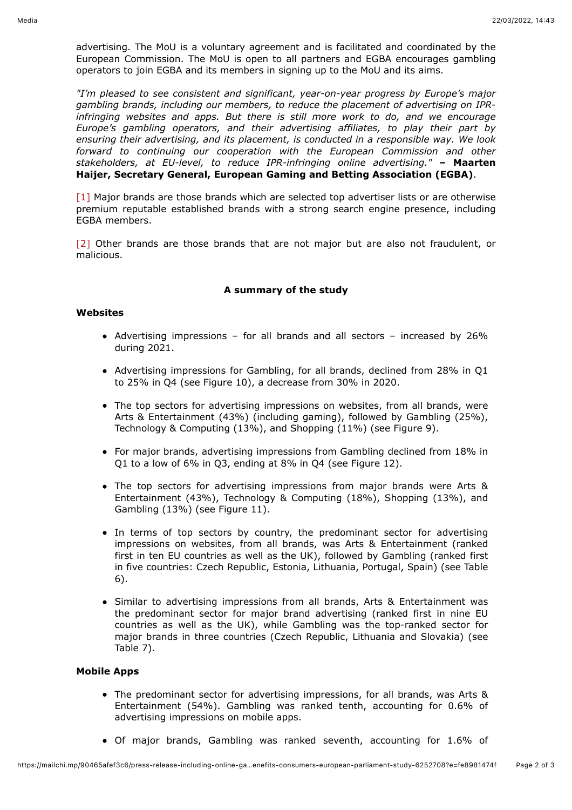advertising. The MoU is a voluntary agreement and is facilitated and coordinated by the European Commission. The MoU is open to all partners and EGBA encourages gambling operators to join EGBA and its members in signing up to the MoU and its aims.

*"I'm pleased to see consistent and significant, year-on-year progress by Europe's major gambling brands, including our members, to reduce the placement of advertising on IPRinfringing websites and apps. But there is still more work to do, and we encourage Europe's gambling operators, and their advertising affiliates, to play their part by ensuring their advertising, and its placement, is conducted in a responsible way. We look forward to continuing our cooperation with the European Commission and other stakeholders, at EU-level, to reduce IPR-infringing online advertising."* **– Maarten Haijer, Secretary General, European Gaming and Betting Association (EGBA)**.

[1] Major brands are those brands which are selected top advertiser lists or are otherwise premium reputable established brands with a strong search engine presence, including EGBA members.

[2] Other brands are those brands that are not major but are also not fraudulent, or malicious.

## **A summary of the study**

### **Websites**

- Advertising impressions for all brands and all sectors increased by 26% during 2021.
- Advertising impressions for Gambling, for all brands, declined from 28% in Q1 to 25% in Q4 (see Figure 10), a decrease from 30% in 2020.
- The top sectors for advertising impressions on websites, from all brands, were Arts & Entertainment (43%) (including gaming), followed by Gambling (25%), Technology & Computing (13%), and Shopping (11%) (see Figure 9).
- For major brands, advertising impressions from Gambling declined from 18% in Q1 to a low of 6% in Q3, ending at 8% in Q4 (see Figure 12).
- The top sectors for advertising impressions from major brands were Arts & Entertainment (43%), Technology & Computing (18%), Shopping (13%), and Gambling (13%) (see Figure 11).
- In terms of top sectors by country, the predominant sector for advertising impressions on websites, from all brands, was Arts & Entertainment (ranked first in ten EU countries as well as the UK), followed by Gambling (ranked first in five countries: Czech Republic, Estonia, Lithuania, Portugal, Spain) (see Table 6).
- Similar to advertising impressions from all brands, Arts & Entertainment was the predominant sector for major brand advertising (ranked first in nine EU countries as well as the UK), while Gambling was the top-ranked sector for major brands in three countries (Czech Republic, Lithuania and Slovakia) (see Table 7).

# **Mobile Apps**

- The predominant sector for advertising impressions, for all brands, was Arts & Entertainment (54%). Gambling was ranked tenth, accounting for 0.6% of advertising impressions on mobile apps.
- Of major brands, Gambling was ranked seventh, accounting for 1.6% of